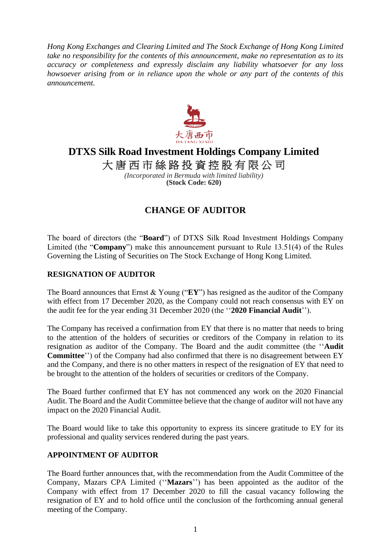*Hong Kong Exchanges and Clearing Limited and The Stock Exchange of Hong Kong Limited take no responsibility for the contents of this announcement, make no representation as to its accuracy or completeness and expressly disclaim any liability whatsoever for any loss howsoever arising from or in reliance upon the whole or any part of the contents of this announcement.*



# **DTXS Silk Road Investment Holdings Company Limited**

大唐西市絲路投資控股有限公司

*(Incorporated in Bermuda with limited liability)* **(Stock Code: 620)**

## **CHANGE OF AUDITOR**

The board of directors (the "**Board**") of DTXS Silk Road Investment Holdings Company Limited (the "**Company**") make this announcement pursuant to Rule 13.51(4) of the Rules Governing the Listing of Securities on The Stock Exchange of Hong Kong Limited.

### **RESIGNATION OF AUDITOR**

The Board announces that Ernst & Young ("**EY**") has resigned as the auditor of the Company with effect from 17 December 2020, as the Company could not reach consensus with EY on the audit fee for the year ending 31 December 2020 (the ''**2020 Financial Audit**'').

The Company has received a confirmation from EY that there is no matter that needs to bring to the attention of the holders of securities or creditors of the Company in relation to its resignation as auditor of the Company. The Board and the audit committee (the ''**Audit Committee**'') of the Company had also confirmed that there is no disagreement between EY and the Company, and there is no other matters in respect of the resignation of EY that need to be brought to the attention of the holders of securities or creditors of the Company.

The Board further confirmed that EY has not commenced any work on the 2020 Financial Audit. The Board and the Audit Committee believe that the change of auditor will not have any impact on the 2020 Financial Audit.

The Board would like to take this opportunity to express its sincere gratitude to EY for its professional and quality services rendered during the past years.

### **APPOINTMENT OF AUDITOR**

The Board further announces that, with the recommendation from the Audit Committee of the Company, Mazars CPA Limited (''**Mazars**'') has been appointed as the auditor of the Company with effect from 17 December 2020 to fill the casual vacancy following the resignation of EY and to hold office until the conclusion of the forthcoming annual general meeting of the Company.